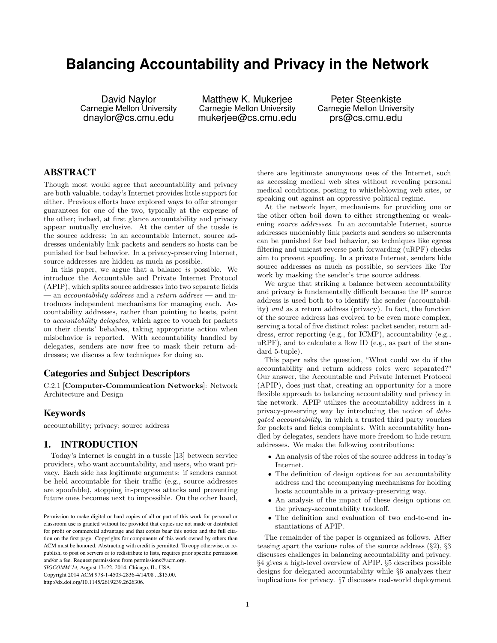# **Balancing Accountability and Privacy in the Network**

David Naylor Carnegie Mellon University dnaylor@cs.cmu.edu

Matthew K. Mukerjee Carnegie Mellon University mukerjee@cs.cmu.edu

Peter Steenkiste Carnegie Mellon University prs@cs.cmu.edu

# ABSTRACT

Though most would agree that accountability and privacy are both valuable, today's Internet provides little support for either. Previous efforts have explored ways to offer stronger guarantees for one of the two, typically at the expense of the other; indeed, at first glance accountability and privacy appear mutually exclusive. At the center of the tussle is the source address: in an accountable Internet, source addresses undeniably link packets and senders so hosts can be punished for bad behavior. In a privacy-preserving Internet, source addresses are hidden as much as possible.

In this paper, we argue that a balance is possible. We introduce the Accountable and Private Internet Protocol (APIP), which splits source addresses into two separate fields an *accountability address* and a return  $address$  — and introduces independent mechanisms for managing each. Accountability addresses, rather than pointing to hosts, point to accountability delegates, which agree to vouch for packets on their clients' behalves, taking appropriate action when misbehavior is reported. With accountability handled by delegates, senders are now free to mask their return addresses; we discuss a few techniques for doing so.

## Categories and Subject Descriptors

C.2.1 [Computer-Communication Networks]: Network Architecture and Design

## Keywords

accountability; privacy; source address

# 1. INTRODUCTION

Today's Internet is caught in a tussle [13] between service providers, who want accountability, and users, who want privacy. Each side has legitimate arguments: if senders cannot be held accountable for their traffic (e.g., source addresses are spoofable), stopping in-progress attacks and preventing future ones becomes next to impossible. On the other hand,

*SIGCOMM'14,* August 17–22, 2014, Chicago, IL, USA. Copyright 2014 ACM 978-1-4503-2836-4/14/08 ...\$15.00.

http://dx.doi.org/10.1145/2619239.2626306.

there are legitimate anonymous uses of the Internet, such as accessing medical web sites without revealing personal medical conditions, posting to whistleblowing web sites, or speaking out against an oppressive political regime.

At the network layer, mechanisms for providing one or the other often boil down to either strengthening or weakening source addresses. In an accountable Internet, source addresses undeniably link packets and senders so miscreants can be punished for bad behavior, so techniques like egress filtering and unicast reverse path forwarding (uRPF) checks aim to prevent spoofing. In a private Internet, senders hide source addresses as much as possible, so services like Tor work by masking the sender's true source address.

We argue that striking a balance between accountability and privacy is fundamentally difficult because the IP source address is used both to to identify the sender (accountability) and as a return address (privacy). In fact, the function of the source address has evolved to be even more complex, serving a total of five distinct roles: packet sender, return address, error reporting (e.g., for ICMP), accountability (e.g., uRPF), and to calculate a flow ID (e.g., as part of the standard 5-tuple).

This paper asks the question, "What could we do if the accountability and return address roles were separated?" Our answer, the Accountable and Private Internet Protocol (APIP), does just that, creating an opportunity for a more flexible approach to balancing accountability and privacy in the network. APIP utilizes the accountability address in a privacy-preserving way by introducing the notion of delegated accountability, in which a trusted third party vouches for packets and fields complaints. With accountability handled by delegates, senders have more freedom to hide return addresses. We make the following contributions:

- ' An analysis of the roles of the source address in today's Internet.
- ' The definition of design options for an accountability address and the accompanying mechanisms for holding hosts accountable in a privacy-preserving way.
- ' An analysis of the impact of these design options on the privacy-accountability tradeoff.
- ' The definition and evaluation of two end-to-end instantiations of APIP.

The remainder of the paper is organized as follows. After teasing apart the various roles of the source address  $(\S2)$ ,  $\S3$ discusses challenges in balancing accountability and privacy. §4 gives a high-level overview of APIP. §5 describes possible designs for delegated accountability while §6 analyzes their implications for privacy. §7 discusses real-world deployment

Permission to make digital or hard copies of all or part of this work for personal or classroom use is granted without fee provided that copies are not made or distributed for profit or commercial advantage and that copies bear this notice and the full citation on the first page. Copyrights for components of this work owned by others than ACM must be honored. Abstracting with credit is permitted. To copy otherwise, or republish, to post on servers or to redistribute to lists, requires prior specific permission and/or a fee. Request permissions from permissions@acm.org.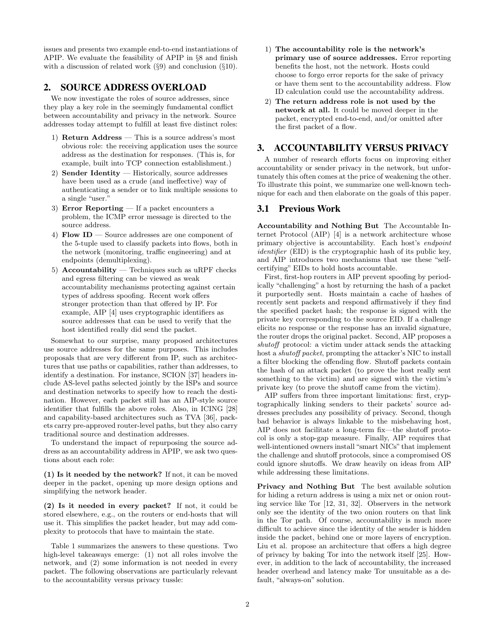issues and presents two example end-to-end instantiations of APIP. We evaluate the feasibility of APIP in §8 and finish with a discussion of related work (§9) and conclusion (§10).

# 2. SOURCE ADDRESS OVERLOAD

We now investigate the roles of source addresses, since they play a key role in the seemingly fundamental conflict between accountability and privacy in the network. Source addresses today attempt to fulfill at least five distinct roles:

- 1) Return Address This is a source address's most obvious role: the receiving application uses the source address as the destination for responses. (This is, for example, built into TCP connection establishment.)
- 2) Sender Identity Historically, source addresses have been used as a crude (and ineffective) way of authenticating a sender or to link multiple sessions to a single "user."
- 3) Error Reporting  $-$  If a packet encounters a problem, the ICMP error message is directed to the source address.
- 4) Flow ID Source addresses are one component of the 5-tuple used to classify packets into flows, both in the network (monitoring, traffic engineering) and at endpoints (demultiplexing).
- 5) Accountability Techniques such as uRPF checks and egress filtering can be viewed as weak accountability mechanisms protecting against certain types of address spoofing. Recent work offers stronger protection than that offered by IP. For example, AIP [4] uses cryptographic identifiers as source addresses that can be used to verify that the host identified really did send the packet.

Somewhat to our surprise, many proposed architectures use source addresses for the same purposes. This includes proposals that are very different from IP, such as architectures that use paths or capabilities, rather than addresses, to identify a destination. For instance, SCION [37] headers include AS-level paths selected jointly by the ISPs and source and destination networks to specify how to reach the destination. However, each packet still has an AIP-style source identifier that fulfills the above roles. Also, in ICING [28] and capability-based architectures such as TVA [36], packets carry pre-approved router-level paths, but they also carry traditional source and destination addresses.

To understand the impact of repurposing the source address as an accountability address in APIP, we ask two questions about each role:

(1) Is it needed by the network? If not, it can be moved deeper in the packet, opening up more design options and simplifying the network header.

(2) Is it needed in every packet? If not, it could be stored elsewhere, e.g., on the routers or end-hosts that will use it. This simplifies the packet header, but may add complexity to protocols that have to maintain the state.

Table 1 summarizes the answers to these questions. Two high-level takeaways emerge: (1) not all roles involve the network, and (2) some information is not needed in every packet. The following observations are particularly relevant to the accountability versus privacy tussle:

- 1) The accountability role is the network's primary use of source addresses. Error reporting benefits the host, not the network. Hosts could choose to forgo error reports for the sake of privacy or have them sent to the accountability address. Flow ID calculation could use the accountability address.
- 2) The return address role is not used by the network at all. It could be moved deeper in the packet, encrypted end-to-end, and/or omitted after the first packet of a flow.

# 3. ACCOUNTABILITY VERSUS PRIVACY

A number of research efforts focus on improving either accountability or sender privacy in the network, but unfortunately this often comes at the price of weakening the other. To illustrate this point, we summarize one well-known technique for each and then elaborate on the goals of this paper.

## 3.1 Previous Work

Accountability and Nothing But The Accountable Internet Protocol (AIP) [4] is a network architecture whose primary objective is accountability. Each host's endpoint identifier (EID) is the cryptographic hash of its public key, and AIP introduces two mechanisms that use these "selfcertifying" EIDs to hold hosts accountable.

First, first-hop routers in AIP prevent spoofing by periodically "challenging" a host by returning the hash of a packet it purportedly sent. Hosts maintain a cache of hashes of recently sent packets and respond affirmatively if they find the specified packet hash; the response is signed with the private key corresponding to the source EID. If a challenge elicits no response or the response has an invalid signature, the router drops the original packet. Second, AIP proposes a shutoff protocol: a victim under attack sends the attacking host a shutoff packet, prompting the attacker's NIC to install a filter blocking the offending flow. Shutoff packets contain the hash of an attack packet (to prove the host really sent something to the victim) and are signed with the victim's private key (to prove the shutoff came from the victim).

AIP suffers from three important limitations: first, cryptographically linking senders to their packets' source addresses precludes any possibility of privacy. Second, though bad behavior is always linkable to the misbehaving host, AIP does not facilitate a long-term fix—the shutoff protocol is only a stop-gap measure. Finally, AIP requires that well-intentioned owners install "smart NICs" that implement the challenge and shutoff protocols, since a compromised OS could ignore shutoffs. We draw heavily on ideas from AIP while addressing these limitations.

Privacy and Nothing But The best available solution for hiding a return address is using a mix net or onion routing service like Tor [12, 31, 32]. Observers in the network only see the identity of the two onion routers on that link in the Tor path. Of course, accountability is much more difficult to achieve since the identity of the sender is hidden inside the packet, behind one or more layers of encryption. Liu et al. propose an architecture that offers a high degree of privacy by baking Tor into the network itself [25]. However, in addition to the lack of accountability, the increased header overhead and latency make Tor unsuitable as a default, "always-on" solution.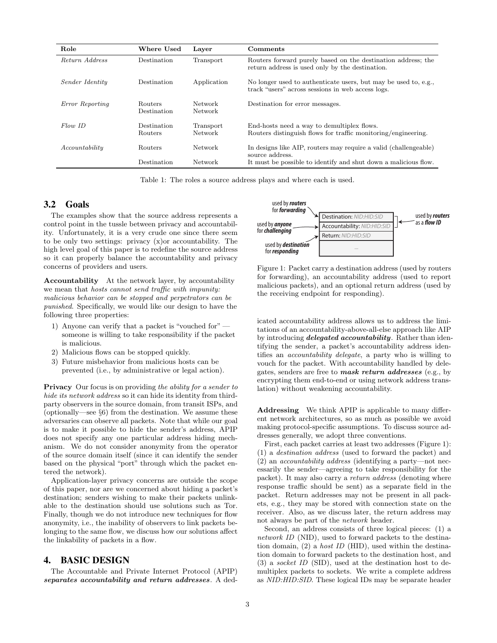| Role            | Where Used                    | Layer                     | Comments                                                                                                             |
|-----------------|-------------------------------|---------------------------|----------------------------------------------------------------------------------------------------------------------|
| Return Address  | Destination                   | Transport                 | Routers forward purely based on the destination address; the<br>return address is used only by the destination.      |
| Sender Identity | Destination                   | Application               | No longer used to authenticate users, but may be used to, e.g.,<br>track "users" across sessions in web access logs. |
| Error Reporting | <b>Routers</b><br>Destination | <b>Network</b><br>Network | Destination for error messages.                                                                                      |
| FlowID          | Destination<br><b>Routers</b> | Transport<br>Network      | End-hosts need a way to demultiplex flows.<br>Routers distinguish flows for traffic monitoring/engineering.          |
| Accountability  | <b>Routers</b>                | Network                   | In designs like AIP, routers may require a valid (challengeable)<br>source address.                                  |
|                 | Destination                   | Network                   | It must be possible to identify and shut down a malicious flow.                                                      |

Table 1: The roles a source address plays and where each is used.

## 3.2 Goals

The examples show that the source address represents a control point in the tussle between privacy and accountability. Unfortunately, it is a very crude one since there seem to be only two settings: privacy (x)or accountability. The high level goal of this paper is to redefine the source address so it can properly balance the accountability and privacy concerns of providers and users.

Accountability At the network layer, by accountability we mean that hosts cannot send traffic with impunity: malicious behavior can be stopped and perpetrators can be punished. Specifically, we would like our design to have the following three properties:

- 1) Anyone can verify that a packet is "vouched for" someone is willing to take responsibility if the packet is malicious.
- 2) Malicious flows can be stopped quickly.
- 3) Future misbehavior from malicious hosts can be prevented (i.e., by administrative or legal action).

Privacy Our focus is on providing the ability for a sender to hide its network address so it can hide its identity from thirdparty observers in the source domain, from transit ISPs, and (optionally—see §6) from the destination. We assume these adversaries can observe all packets. Note that while our goal is to make it possible to hide the sender's address, APIP does not specify any one particular address hiding mechanism. We do not consider anonymity from the operator of the source domain itself (since it can identify the sender based on the physical "port" through which the packet entered the network).

Application-layer privacy concerns are outside the scope of this paper, nor are we concerned about hiding a packet's destination; senders wishing to make their packets unlinkable to the destination should use solutions such as Tor. Finally, though we do not introduce new techniques for flow anonymity, i.e., the inability of observers to link packets belonging to the same flow, we discuss how our solutions affect the linkability of packets in a flow.

## 4. BASIC DESIGN

The Accountable and Private Internet Protocol (APIP) separates accountability and return addresses. A ded-



Figure 1: Packet carry a destination address (used by routers for forwarding), an accountability address (used to report malicious packets), and an optional return address (used by the receiving endpoint for responding).

icated accountability address allows us to address the limitations of an accountability-above-all-else approach like AIP by introducing *delegated accountability*. Rather than identifying the sender, a packet's accountability address identifies an accountability delegate, a party who is willing to vouch for the packet. With accountability handled by delegates, senders are free to mask return addresses (e.g., by encrypting them end-to-end or using network address translation) without weakening accountability.

Addressing We think APIP is applicable to many different network architectures, so as much as possible we avoid making protocol-specific assumptions. To discuss source addresses generally, we adopt three conventions.

First, each packet carries at least two addresses (Figure 1): (1) a destination address (used to forward the packet) and (2) an accountability address (identifying a party—not necessarily the sender—agreeing to take responsibility for the packet). It may also carry a return address (denoting where response traffic should be sent) as a separate field in the packet. Return addresses may not be present in all packets, e.g., they may be stored with connection state on the receiver. Also, as we discuss later, the return address may not always be part of the network header.

Second, an address consists of three logical pieces: (1) a network ID (NID), used to forward packets to the destination domain, (2) a host ID (HID), used within the destination domain to forward packets to the destination host, and (3) a socket ID (SID), used at the destination host to demultiplex packets to sockets. We write a complete address as NID:HID:SID. These logical IDs may be separate header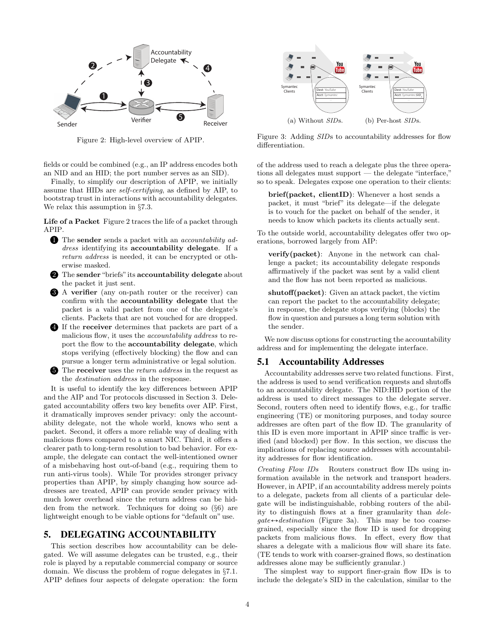

Figure 2: High-level overview of APIP.

fields or could be combined (e.g., an IP address encodes both an NID and an HID; the port number serves as an SID).

Finally, to simplify our description of APIP, we initially assume that HIDs are self-certifying, as defined by AIP, to bootstrap trust in interactions with accountability delegates. We relax this assumption in §7.3.

Life of a Packet Figure 2 traces the life of a packet through APIP.

- **1** The sender sends a packet with an *accountability ad*dress identifying its accountability delegate. If a return address is needed, it can be encrypted or otherwise masked.
- 2 The sender"briefs"its accountability delegate about the packet it just sent.
- 3 A verifier (any on-path router or the receiver) can confirm with the accountability delegate that the packet is a valid packet from one of the delegate's clients. Packets that are not vouched for are dropped.
- 4 If the receiver determines that packets are part of a malicious flow, it uses the accountability address to report the flow to the accountability delegate, which stops verifying (effectively blocking) the flow and can pursue a longer term administrative or legal solution.



It is useful to identify the key differences between APIP and the AIP and Tor protocols discussed in Section 3. Delegated accountability offers two key benefits over AIP. First, it dramatically improves sender privacy: only the accountability delegate, not the whole world, knows who sent a packet. Second, it offers a more reliable way of dealing with malicious flows compared to a smart NIC. Third, it offers a clearer path to long-term resolution to bad behavior. For example, the delegate can contact the well-intentioned owner of a misbehaving host out-of-band (e.g., requiring them to run anti-virus tools). While Tor provides stronger privacy properties than APIP, by simply changing how source addresses are treated, APIP can provide sender privacy with much lower overhead since the return address can be hidden from the network. Techniques for doing so (§6) are lightweight enough to be viable options for "default on" use. Figure 2: High-level correlation and the control of the section of the following in the form of the form of the form of the four and the control of the section of the section of the section of the section of the section o

# 5. DELEGATING ACCOUNTABILITY

This section describes how accountability can be delegated. We will assume delegates can be trusted, e.g., their role is played by a reputable commercial company or source domain. We discuss the problem of rogue delegates in §7.1.



Figure 3: Adding SIDs to accountability addresses for flow differentiation.

of the address used to reach a delegate plus the three operations all delegates must support — the delegate "interface," so to speak. Delegates expose one operation to their clients:

brief(packet, clientID): Whenever a host sends a packet, it must "brief" its delegate—if the delegate is to vouch for the packet on behalf of the sender, it needs to know which packets its clients actually sent.

To the outside world, accountability delegates offer two operations, borrowed largely from AIP:

verify(packet): Anyone in the network can challenge a packet; its accountability delegate responds affirmatively if the packet was sent by a valid client and the flow has not been reported as malicious.

shutoff(packet): Given an attack packet, the victim can report the packet to the accountability delegate; in response, the delegate stops verifying (blocks) the flow in question and pursues a long term solution with the sender.

We now discuss options for constructing the accountability address and for implementing the delegate interface.

## 5.1 Accountability Addresses

Accountability addresses serve two related functions. First, the address is used to send verification requests and shutoffs to an accountability delegate. The NID:HID portion of the address is used to direct messages to the delegate server. Second, routers often need to identify flows, e.g., for traffic engineering (TE) or monitoring purposes, and today source addresses are often part of the flow ID. The granularity of this ID is even more important in APIP since traffic is verified (and blocked) per flow. In this section, we discuss the implications of replacing source addresses with accountability addresses for flow identification.

Creating Flow IDs Routers construct flow IDs using information available in the network and transport headers. However, in APIP, if an accountability address merely points to a delegate, packets from all clients of a particular delegate will be indistinguishable, robbing routers of the ability to distinguish flows at a finer granularity than dele $gate \leftrightarrow destination$  (Figure 3a). This may be too coarsegrained, especially since the flow ID is used for dropping packets from malicious flows. In effect, every flow that shares a delegate with a malicious flow will share its fate. (TE tends to work with coarser-grained flows, so destination addresses alone may be sufficiently granular.)

The simplest way to support finer-grain flow IDs is to include the delegate's SID in the calculation, similar to the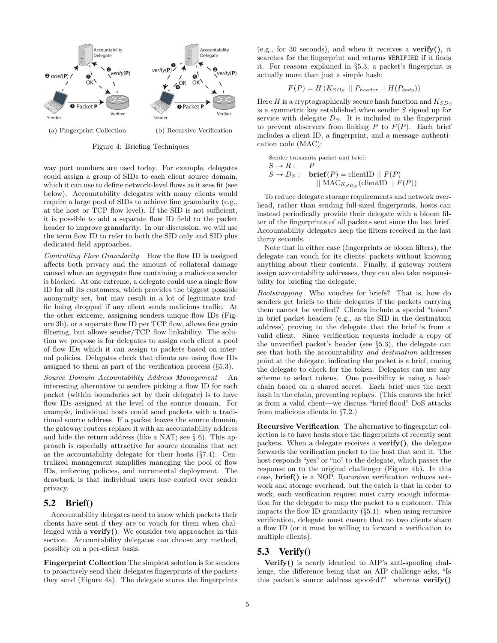

Figure 4: Briefing Techniques

way port numbers are used today. For example, delegates could assign a group of SIDs to each client source domain, which it can use to define network-level flows as it sees fit (see below). Accountability delegates with many clients would require a large pool of SIDs to achieve fine granularity (e.g., at the host or TCP flow level). If the SID is not sufficient, it is possible to add a separate flow ID field to the packet header to improve granularity. In our discussion, we will use the term flow ID to refer to both the SID only and SID plus dedicated field approaches.

Controlling Flow Granularity How the flow ID is assigned affects both privacy and the amount of collateral damage caused when an aggregate flow containing a malicious sender is blocked. At one extreme, a delegate could use a single flow ID for all its customers, which provides the biggest possible anonymity set, but may result in a lot of legitimate traffic being dropped if any client sends malicious traffic. At the other extreme, assigning senders unique flow IDs (Figure 3b), or a separate flow ID per TCP flow, allows fine grain filtering, but allows sender/TCP flow linkability. The solution we propose is for delegates to assign each client a pool of flow IDs which it can assign to packets based on internal policies. Delegates check that clients are using flow IDs assigned to them as part of the verification process  $(\S 5.3)$ .

Source Domain Accountability Address Management An interesting alternative to senders picking a flow ID for each packet (within boundaries set by their delegate) is to have flow IDs assigned at the level of the source domain. For example, individual hosts could send packets with a traditional source address. If a packet leaves the source domain, the gateway routers replace it with an accountability address and hide the return address (like a NAT; see  $\S 6$ ). This approach is especially attractive for source domains that act as the accountability delegate for their hosts (§7.4). Centralized management simplifies managing the pool of flow IDs, enforcing policies, and incremental deployment. The drawback is that individual users lose control over sender privacy.

## 5.2 Brief()

Accountability delegates need to know which packets their clients have sent if they are to vouch for them when challenged with a  $\text{verify}()$ . We consider two approaches in this section. Accountability delegates can choose any method, possibly on a per-client basis.

Fingerprint Collection The simplest solution is for senders to proactively send their delegates fingerprints of the packets they send (Figure 4a). The delegate stores the fingerprints

(e.g., for 30 seconds), and when it receives a  $\text{verify}()$ , it searches for the fingerprint and returns VERIFIED if it finds it. For reasons explained in §5.3, a packet's fingerprint is actually more than just a simple hash:

$$
F(P) = H(K_{SD_S} || P_{header} || H(P_{body}))
$$

Here H is a cryptographically secure hash function and  $K_{SD_S}$ is a symmetric key established when sender S signed up for service with delegate  $D<sub>S</sub>$ . It is included in the fingerprint to prevent observers from linking P to  $F(P)$ . Each brief includes a client ID, a fingerprint, and a message authentication code (MAC):

Sender transmits packet and brief:  
\n
$$
S \to R
$$
: P  
\n $S \to D_S$ : **brief**(P) = clientID || F(P)  
\n|| MAC<sub>KSDS</sub> (clientID || F(P))

To reduce delegate storage requirements and network overhead, rather than sending full-sized fingerprints, hosts can instead periodically provide their delegate with a bloom filter of the fingerprints of all packets sent since the last brief. Accountability delegates keep the filters received in the last thirty seconds.

Note that in either case (fingerprints or bloom filters), the delegate can vouch for its clients' packets without knowing anything about their contents. Finally, if gateway routers assign accountability addresses, they can also take responsibility for briefing the delegate.

Bootstrapping Who vouches for briefs? That is, how do senders get briefs to their delegates if the packets carrying them cannot be verified? Clients include a special "token" in brief packet headers (e.g., as the SID in the destination address) proving to the delegate that the brief is from a valid client. Since verification requests include a copy of the unverified packet's header (see §5.3), the delegate can see that both the accountability and destination addresses point at the delegate, indicating the packet is a brief, cueing the delegate to check for the token. Delegates can use any scheme to select tokens. One possibility is using a hash chain based on a shared secret. Each brief uses the next hash in the chain, preventing replays. (This ensures the brief is from a valid client—we discuss "brief-flood" DoS attacks from malicious clients in §7.2.)

Recursive Verification The alternative to fingerprint collection is to have hosts store the fingerprints of recently sent packets. When a delegate receives a verify(), the delegate forwards the verification packet to the host that sent it. The host responds "yes" or "no" to the delegate, which passes the response on to the original challenger (Figure 4b). In this case, brief() is a NOP. Recursive verification reduces network and storage overhead, but the catch is that in order to work, each verification request must carry enough information for the delegate to map the packet to a customer. This impacts the flow ID granularity  $(\S 5.1)$ : when using recursive verification, delegate must ensure that no two clients share a flow ID (or it must be willing to forward a verification to multiple clients).

## 5.3 Verify()

Verify() is nearly identical to AIP's anti-spoofing challenge, the difference being that an AIP challenge asks, "Is this packet's source address spoofed?" whereas verify()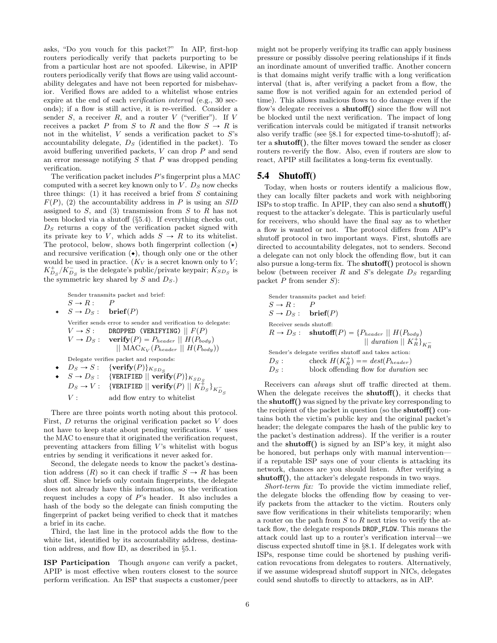asks, "Do you vouch for this packet?" In AIP, first-hop routers periodically verify that packets purporting to be from a particular host are not spoofed. Likewise, in APIP routers periodically verify that flows are using valid accountability delegates and have not been reported for misbehavior. Verified flows are added to a whitelist whose entries expire at the end of each verification interval (e.g., 30 seconds); if a flow is still active, it is re-verified. Consider a sender S, a receiver R, and a router V ("verifier"). If V receives a packet P from S to R and the flow  $S \to R$  is not in the whitelist,  $V$  sends a verification packet to  $S$ 's accountability delegate,  $D<sub>S</sub>$  (identified in the packet). To avoid buffering unverified packets, V can drop P and send an error message notifying  $S$  that  $P$  was dropped pending verification.

The verification packet includes  $P$ 's fingerprint plus a MAC computed with a secret key known only to  $V$ .  $D<sub>S</sub>$  now checks three things:  $(1)$  it has received a brief from  $S$  containing  $F(P)$ , (2) the accountability address in P is using an SID assigned to  $S$ , and (3) transmission from  $S$  to  $R$  has not been blocked via a shutoff (§5.4). If everything checks out,  $D<sub>S</sub>$  returns a copy of the verification packet signed with its private key to V, which adds  $S \to R$  to its whitelist. The protocol, below, shows both fingerprint collection  $(*)$ and recursive verification  $(\bullet)$ , though only one or the other would be used in practice. ( $K_V$  is a secret known only to  $V$ ;  $K_{D_S}^+/K_{D_S}^-$  is the delegate's public/private keypair;  $K_{SD_S}$  is the symmetric key shared by  $S$  and  $D_S$ .)

> Sender transmits packet and brief:  $S \rightarrow R$  :  $P$

- $\star$   $S \to D_S$ : brief(P) Verifier sends error to sender and verification to delegate:  $V \rightarrow S$ : DROPPED (VERIFYING)  $|| F(P)$  $V \to D_S$ : verify $(P) = P_{header} || H(P_{body})$  $\parallel$  MAC<sub>K<sub>V</sub></sub> ( $P_{header} \parallel$  H( $P_{body}$ )) Delegate verifies packet and responds:  $D_S \to S: \quad {\text{verify}(P)}_{K_{SDS}}$
- $\bullet \quad S \to D_S: \quad \{\mathtt{VERIFIED}\; ||\; \mathtt{verify}(P)\}_{K_{SD_S}}$  $D_S \rightarrow V: \quad \{\texttt{VERIFIED} \mid \mid \textbf{verify}(P) \mid \mid K_{D_S}^\mp\}_{K_{D_S}^-}$  $V:$  add flow entry to whitelist

There are three points worth noting about this protocol. First, D returns the original verification packet so V does not have to keep state about pending verifications. V uses the MAC to ensure that it originated the verification request, preventing attackers from filling  $V$ 's whitelist with bogus entries by sending it verifications it never asked for.

Second, the delegate needs to know the packet's destination address  $(R)$  so it can check if traffic  $S \to R$  has been shut off. Since briefs only contain fingerprints, the delegate does not already have this information, so the verification request includes a copy of  $P$ 's header. It also includes a hash of the body so the delegate can finish computing the fingerprint of packet being verified to check that it matches a brief in its cache.

Third, the last line in the protocol adds the flow to the white list, identified by its accountability address, destination address, and flow ID, as described in §5.1.

ISP Participation Though anyone can verify a packet, APIP is most effective when routers closest to the source perform verification. An ISP that suspects a customer/peer might not be properly verifying its traffic can apply business pressure or possibly dissolve peering relationships if it finds an inordinate amount of unverified traffic. Another concern is that domains might verify traffic with a long verification interval (that is, after verifying a packet from a flow, the same flow is not verified again for an extended period of time). This allows malicious flows to do damage even if the flow's delegate receives a **shutoff**() since the flow will not be blocked until the next verification. The impact of long verification intervals could be mitigated if transit networks also verify traffic (see §8.1 for expected time-to-shutoff); after a shutoff(), the filter moves toward the sender as closer routers re-verify the flow. Also, even if routers are slow to react, APIP still facilitates a long-term fix eventually.

# 5.4 Shutoff()

Today, when hosts or routers identify a malicious flow, they can locally filter packets and work with neighboring ISPs to stop traffic. In APIP, they can also send a shutoff() request to the attacker's delegate. This is particularly useful for receivers, who should have the final say as to whether a flow is wanted or not. The protocol differs from AIP's shutoff protocol in two important ways. First, shutoffs are directed to accountability delegates, not to senders. Second a delegate can not only block the offending flow, but it can also pursue a long-term fix. The shutoff() protocol is shown below (between receiver R and  $S$ 's delegate  $D<sub>S</sub>$  regarding packet  $P$  from sender  $S$ ):

Sender transmits packet and brief:  $S \rightarrow R$  :  $P$  $S \to D_S$ : brief(P) Receiver sends shutoff:  $R \rightarrow D_S$  : shutoff $(P) = \{P_{header} \mid H(P_{body})\}$  $\parallel$  duration  $\parallel$   $K_R^+$   $\parallel$ Sender's delegate verifies shutoff and takes action:  $D_S$ : check  $H(K_R^+) = \text{dest}(P_{\text{header}})$  $D_S$ : block offending flow for *duration* sec

Receivers can always shut off traffic directed at them. When the delegate receives the **shutoff** $($ ), it checks that the shutoff() was signed by the private key corresponding to the recipient of the packet in question (so the shutoff() contains both the victim's public key and the original packet's header; the delegate compares the hash of the public key to the packet's destination address). If the verifier is a router and the shutoff() is signed by an ISP's key, it might also be honored, but perhaps only with manual intervention if a reputable ISP says one of your clients is attacking its network, chances are you should listen. After verifying a shutoff(), the attacker's delegate responds in two ways.

Short-term fix: To provide the victim immediate relief, the delegate blocks the offending flow by ceasing to verify packets from the attacker to the victim. Routers only save flow verifications in their whitelists temporarily; when a router on the path from  $S$  to  $R$  next tries to verify the attack flow, the delegate responds DROP\_FLOW. This means the attack could last up to a router's verification interval—we discuss expected shutoff time in §8.1. If delegates work with ISPs, response time could be shortened by pushing verification revocations from delegates to routers. Alternatively, if we assume widespread shutoff support in NICs, delegates could send shutoffs to directly to attackers, as in AIP.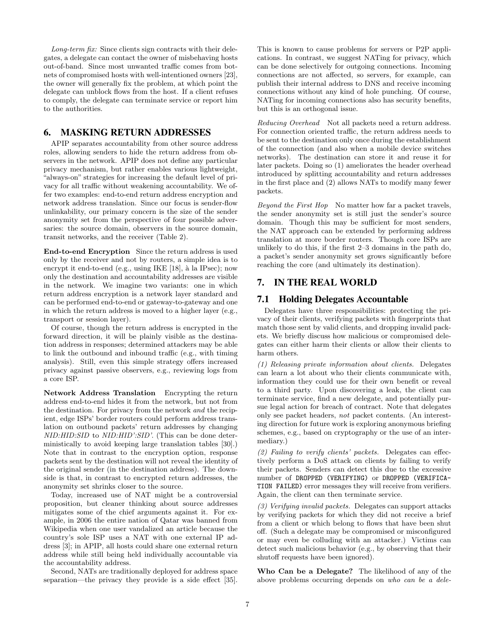Long-term fix: Since clients sign contracts with their delegates, a delegate can contact the owner of misbehaving hosts out-of-band. Since most unwanted traffic comes from botnets of compromised hosts with well-intentioned owners [23], the owner will generally fix the problem, at which point the delegate can unblock flows from the host. If a client refuses to comply, the delegate can terminate service or report him to the authorities.

# 6. MASKING RETURN ADDRESSES

APIP separates accountability from other source address roles, allowing senders to hide the return address from observers in the network. APIP does not define any particular privacy mechanism, but rather enables various lightweight, "always-on" strategies for increasing the default level of privacy for all traffic without weakening accountability. We offer two examples: end-to-end return address encryption and network address translation. Since our focus is sender-flow unlinkability, our primary concern is the size of the sender anonymity set from the perspective of four possible adversaries: the source domain, observers in the source domain, transit networks, and the receiver (Table 2).

End-to-end Encryption Since the return address is used only by the receiver and not by routers, a simple idea is to encrypt it end-to-end (e.g., using IKE [18], à la IPsec); now only the destination and accountability addresses are visible in the network. We imagine two variants: one in which return address encryption is a network layer standard and can be performed end-to-end or gateway-to-gateway and one in which the return address is moved to a higher layer (e.g., transport or session layer).

Of course, though the return address is encrypted in the forward direction, it will be plainly visible as the destination address in responses; determined attackers may be able to link the outbound and inbound traffic (e.g., with timing analysis). Still, even this simple strategy offers increased privacy against passive observers, e.g., reviewing logs from a core ISP.

Network Address Translation Encrypting the return address end-to-end hides it from the network, but not from the destination. For privacy from the network and the recipient, edge ISPs' border routers could perform address translation on outbound packets' return addresses by changing NID:HID:SID to NID:HID':SID'. (This can be done deterministically to avoid keeping large translation tables [30].) Note that in contrast to the encryption option, response packets sent by the destination will not reveal the identity of the original sender (in the destination address). The downside is that, in contrast to encrypted return addresses, the anonymity set shrinks closer to the source.

Today, increased use of NAT might be a controversial proposition, but cleaner thinking about source addresses mitigates some of the chief arguments against it. For example, in 2006 the entire nation of Qatar was banned from Wikipedia when one user vandalized an article because the country's sole ISP uses a NAT with one external IP address [3]; in APIP, all hosts could share one external return address while still being held individually accountable via the accountability address.

Second, NATs are traditionally deployed for address space separation—the privacy they provide is a side effect [35].

This is known to cause problems for servers or P2P applications. In contrast, we suggest NATing for privacy, which can be done selectively for outgoing connections. Incoming connections are not affected, so servers, for example, can publish their internal address to DNS and receive incoming connections without any kind of hole punching. Of course, NATing for incoming connections also has security benefits, but this is an orthogonal issue.

Reducing Overhead Not all packets need a return address. For connection oriented traffic, the return address needs to be sent to the destination only once during the establishment of the connection (and also when a mobile device switches networks). The destination can store it and reuse it for later packets. Doing so (1) ameliorates the header overhead introduced by splitting accountability and return addresses in the first place and (2) allows NATs to modify many fewer packets.

Beyond the First Hop No matter how far a packet travels, the sender anonymity set is still just the sender's source domain. Though this may be sufficient for most senders, the NAT approach can be extended by performing address translation at more border routers. Though core ISPs are unlikely to do this, if the first 2–3 domains in the path do, a packet's sender anonymity set grows significantly before reaching the core (and ultimately its destination).

# 7. IN THE REAL WORLD

# 7.1 Holding Delegates Accountable

Delegates have three responsibilities: protecting the privacy of their clients, verifying packets with fingerprints that match those sent by valid clients, and dropping invalid packets. We briefly discuss how malicious or compromised delegates can either harm their clients or allow their clients to harm others.

(1) Releasing private information about clients. Delegates can learn a lot about who their clients communicate with, information they could use for their own benefit or reveal to a third party. Upon discovering a leak, the client can terminate service, find a new delegate, and potentially pursue legal action for breach of contract. Note that delegates only see packet headers, not packet contents. (An interesting direction for future work is exploring anonymous briefing schemes, e.g., based on cryptography or the use of an intermediary.)

(2) Failing to verify clients' packets. Delegates can effectively perform a DoS attack on clients by failing to verify their packets. Senders can detect this due to the excessive number of DROPPED (VERIFYING) or DROPPED (VERIFICA-TION FAILED) error messages they will receive from verifiers. Again, the client can then terminate service.

(3) Verifying invalid packets. Delegates can support attacks by verifying packets for which they did not receive a brief from a client or which belong to flows that have been shut off. (Such a delegate may be compromised or misconfigured or may even be colluding with an attacker.) Victims can detect such malicious behavior (e.g., by observing that their shutoff requests have been ignored).

Who Can be a Delegate? The likelihood of any of the above problems occurring depends on who can be a dele-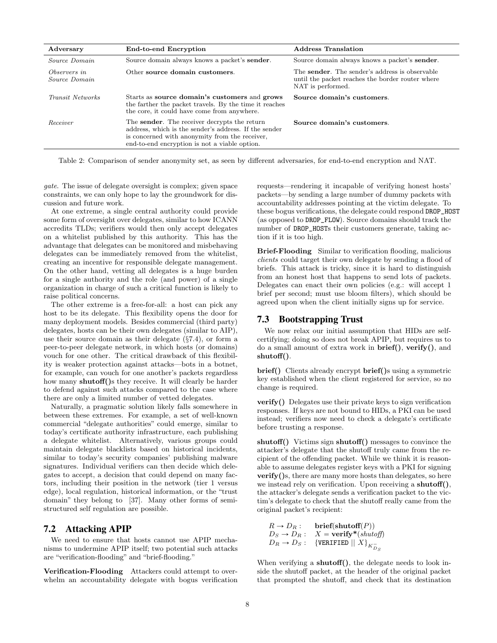| Adversary                     | End-to-end Encryption                                                                                                                                                                                    | <b>Address Translation</b>                                                                                                      |
|-------------------------------|----------------------------------------------------------------------------------------------------------------------------------------------------------------------------------------------------------|---------------------------------------------------------------------------------------------------------------------------------|
| Source Domain                 | Source domain always knows a packet's sender.                                                                                                                                                            | Source domain always knows a packet's <b>sender</b> .                                                                           |
| Observers in<br>Source Domain | Other source domain customers.                                                                                                                                                                           | The <b>sender</b> . The sender's address is observable<br>until the packet reaches the border router where<br>NAT is performed. |
| <i>Transit Networks</i>       | Starts as source domain's customers and grows<br>the farther the packet travels. By the time it reaches<br>the core, it could have come from anywhere.                                                   | Source domain's customers.                                                                                                      |
| Receiver                      | The sender. The receiver decrypts the return<br>address, which is the sender's address. If the sender<br>is concerned with anonymity from the receiver,<br>end-to-end encryption is not a viable option. | Source domain's customers.                                                                                                      |

Table 2: Comparison of sender anonymity set, as seen by different adversaries, for end-to-end encryption and NAT.

gate. The issue of delegate oversight is complex; given space constraints, we can only hope to lay the groundwork for discussion and future work.

At one extreme, a single central authority could provide some form of oversight over delegates, similar to how ICANN accredits TLDs; verifiers would then only accept delegates on a whitelist published by this authority. This has the advantage that delegates can be monitored and misbehaving delegates can be immediately removed from the whitelist, creating an incentive for responsible delegate management. On the other hand, vetting all delegates is a huge burden for a single authority and the role (and power) of a single organization in charge of such a critical function is likely to raise political concerns.

The other extreme is a free-for-all: a host can pick any host to be its delegate. This flexibility opens the door for many deployment models. Besides commercial (third party) delegates, hosts can be their own delegates (similar to AIP), use their source domain as their delegate (§7.4), or form a peer-to-peer delegate network, in which hosts (or domains) vouch for one other. The critical drawback of this flexibility is weaker protection against attacks—bots in a botnet, for example, can vouch for one another's packets regardless how many **shutoff**()s they receive. It will clearly be harder to defend against such attacks compared to the case where there are only a limited number of vetted delegates.

Naturally, a pragmatic solution likely falls somewhere in between these extremes. For example, a set of well-known commercial "delegate authorities" could emerge, similar to today's certificate authority infrastructure, each publishing a delegate whitelist. Alternatively, various groups could maintain delegate blacklists based on historical incidents, similar to today's security companies' publishing malware signatures. Individual verifiers can then decide which delegates to accept, a decision that could depend on many factors, including their position in the network (tier 1 versus edge), local regulation, historical information, or the "trust domain" they belong to [37]. Many other forms of semistructured self regulation are possible.

## 7.2 Attacking APIP

We need to ensure that hosts cannot use APIP mechanisms to undermine APIP itself; two potential such attacks are "verification-flooding" and "brief-flooding."

Verification-Flooding Attackers could attempt to overwhelm an accountability delegate with bogus verification requests—rendering it incapable of verifying honest hosts' packets—by sending a large number of dummy packets with accountability addresses pointing at the victim delegate. To these bogus verifications, the delegate could respond DROP\_HOST (as opposed to DROP\_FLOW). Source domains should track the number of DROP\_HOSTs their customers generate, taking action if it is too high.

Brief-Flooding Similar to verification flooding, malicious clients could target their own delegate by sending a flood of briefs. This attack is tricky, since it is hard to distinguish from an honest host that happens to send lots of packets. Delegates can enact their own policies (e.g.: will accept 1 brief per second; must use bloom filters), which should be agreed upon when the client initially signs up for service.

# 7.3 Bootstrapping Trust

We now relax our initial assumption that HIDs are selfcertifying; doing so does not break APIP, but requires us to do a small amount of extra work in brief(), verify(), and shutoff().

brief() Clients already encrypt brief()s using a symmetric key established when the client registered for service, so no change is required.

verify() Delegates use their private keys to sign verification responses. If keys are not bound to HIDs, a PKI can be used instead; verifiers now need to check a delegate's certificate before trusting a response.

shutoff() Victims sign shutoff() messages to convince the attacker's delegate that the shutoff truly came from the recipient of the offending packet. While we think it is reasonable to assume delegates register keys with a PKI for signing verify()s, there are many more hosts than delegates, so here we instead rely on verification. Upon receiving a **shutoff**(), the attacker's delegate sends a verification packet to the victim's delegate to check that the shutoff really came from the original packet's recipient:

$$
R \to D_R: \text{brief(shutoff}(P))
$$
  
\n
$$
D_S \to D_R: X = \text{verify}^*(\text{shutoff})
$$
  
\n
$$
D_R \to D_S: \{\text{VERTFIED} \mid X\}_{K_{D_S}^-}
$$

When verifying a shutoff $()$ , the delegate needs to look inside the shutoff packet, at the header of the original packet that prompted the shutoff, and check that its destination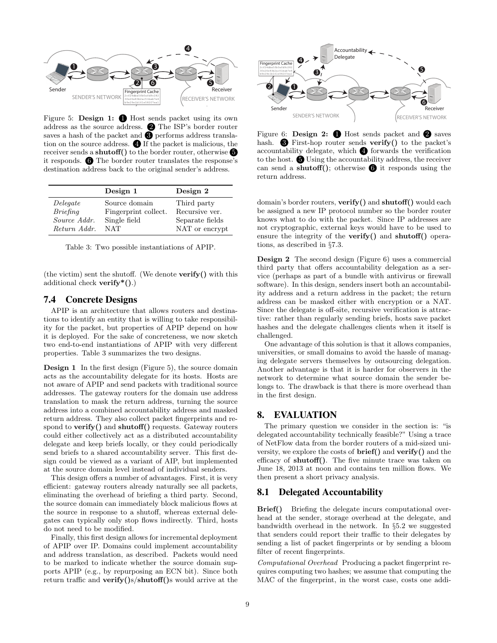

Figure 5: Design 1:  $\bigoplus$  Host sends packet using its own address as the source address. **2** The ISP's border router saves a hash of the packet and  $\bullet$  performs address translation on the source address. 4 If the packet is malicious, the receiver sends a **shutoff**() to the border router, otherwise  $\bullet$ it responds. 6 The border router translates the response's destination address back to the original sender's address.

|              | Design 1             | Design 2        |
|--------------|----------------------|-----------------|
| Delegate     | Source domain        | Third party     |
| Briefing     | Fingerprint collect. | Recursive ver.  |
| Source Addr. | Single field         | Separate fields |
| Return Addr. | NAT                  | NAT or encrypt  |

Table 3: Two possible instantiations of APIP.

(the victim) sent the shutoff. (We denote  $\text{verify}()$  with this additional check **verify**<sup>\*</sup> $()$ .)

# 7.4 Concrete Designs

APIP is an architecture that allows routers and destinations to identify an entity that is willing to take responsibility for the packet, but properties of APIP depend on how it is deployed. For the sake of concreteness, we now sketch two end-to-end instantiations of APIP with very different properties. Table 3 summarizes the two designs.

Design 1 In the first design (Figure 5), the source domain acts as the accountability delegate for its hosts. Hosts are not aware of APIP and send packets with traditional source addresses. The gateway routers for the domain use address translation to mask the return address, turning the source address into a combined accountability address and masked return address. They also collect packet fingerprints and respond to  $\text{verify}()$  and  $\text{shutoff}()$  requests. Gateway routers could either collectively act as a distributed accountability delegate and keep briefs locally, or they could periodically send briefs to a shared accountability server. This first design could be viewed as a variant of AIP, but implemented at the source domain level instead of individual senders.

This design offers a number of advantages. First, it is very efficient: gateway routers already naturally see all packets, eliminating the overhead of briefing a third party. Second, the source domain can immediately block malicious flows at the source in response to a shutoff, whereas external delegates can typically only stop flows indirectly. Third, hosts do not need to be modified.

Finally, this first design allows for incremental deployment of APIP over IP. Domains could implement accountability and address translation, as described. Packets would need to be marked to indicate whether the source domain supports APIP (e.g., by repurposing an ECN bit). Since both return traffic and verify()s/shutoff()s would arrive at the



Figure 6: Design 2:  $\bullet$  Host sends packet and  $\bullet$  saves hash.  $\bullet$  First-hop router sends verify() to the packet's accountability delegate, which 4 forwards the verification to the host.  $\bigodot$  Using the accountability address, the receiver can send a shutoff(); otherwise  $\bigcirc$  it responds using the return address.

domain's border routers, verify() and shutoff() would each be assigned a new IP protocol number so the border router knows what to do with the packet. Since IP addresses are not cryptographic, external keys would have to be used to ensure the integrity of the **verify()** and **shutoff()** operations, as described in §7.3.

Design 2 The second design (Figure 6) uses a commercial third party that offers accountability delegation as a service (perhaps as part of a bundle with antivirus or firewall software). In this design, senders insert both an accountability address and a return address in the packet; the return address can be masked either with encryption or a NAT. Since the delegate is off-site, recursive verification is attractive: rather than regularly sending briefs, hosts save packet hashes and the delegate challenges clients when it itself is challenged.

One advantage of this solution is that it allows companies, universities, or small domains to avoid the hassle of managing delegate servers themselves by outsourcing delegation. Another advantage is that it is harder for observers in the network to determine what source domain the sender belongs to. The drawback is that there is more overhead than in the first design.

# 8. EVALUATION

The primary question we consider in the section is: "is delegated accountability technically feasible?" Using a trace of NetFlow data from the border routers of a mid-sized university, we explore the costs of  $\text{brief}()$  and  $\text{verify}(()$  and the efficacy of shutoff(). The five minute trace was taken on June 18, 2013 at noon and contains ten million flows. We then present a short privacy analysis.

## 8.1 Delegated Accountability

Brief() Briefing the delegate incurs computational overhead at the sender, storage overhead at the delegate, and bandwidth overhead in the network. In §5.2 we suggested that senders could report their traffic to their delegates by sending a list of packet fingerprints or by sending a bloom filter of recent fingerprints.

Computational Overhead Producing a packet fingerprint requires computing two hashes; we assume that computing the MAC of the fingerprint, in the worst case, costs one addi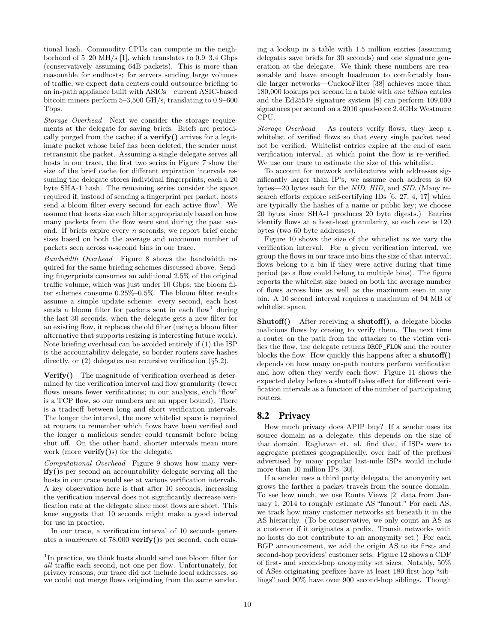tional hash. Commodity CPUs can compute in the neighborhood of 5–20 MH/s [1], which translates to 0.9–3.4 Gbps (conservatively assuming 64B packets). This is more than reasonable for endhosts; for servers sending large volumes of traffic, we expect data centers could outsource briefing to an in-path appliance built with ASICs—current ASIC-based bitcoin miners perform 5–3,500 GH/s, translating to 0.9–600 Tbps.

Storage Overhead Next we consider the storage requirements at the delegate for saving briefs. Briefs are periodically purged from the cache; if a **verify()** arrives for a legitimate packet whose brief has been deleted, the sender must retransmit the packet. Assuming a single delegate serves all hosts in our trace, the first two series in Figure 7 show the size of the brief cache for different expiration intervals assuming the delegate stores individual fingerprints, each a 20 byte SHA-1 hash. The remaining series consider the space required if, instead of sending a fingerprint per packet, hosts send a bloom filter every second for each active flow<sup>1</sup>. We assume that hosts size each filter appropriately based on how many packets from the flow were sent during the past second. If briefs expire every  $n$  seconds, we report brief cache sizes based on both the average and maximum number of packets seen across n-second bins in our trace.

Bandwidth Overhead Figure 8 shows the bandwidth required for the same briefing schemes discussed above. Sending fingerprints consumes an additional 2.5% of the original traffic volume, which was just under 10 Gbps; the bloom filter schemes consume 0.25%–0.5%. The bloom filter results assume a simple update scheme: every second, each host sends a bloom filter for packets sent in each flow<sup>1</sup> during the last 30 seconds; when the delegate gets a new filter for an existing flow, it replaces the old filter (using a bloom filter alternative that supports resizing is interesting future work). Note briefing overhead can be avoided entirely if (1) the ISP is the accountability delegate, so border routers save hashes directly, or  $(2)$  delegates use recursive verification  $(\S 5.2)$ .

Verify() The magnitude of verification overhead is determined by the verification interval and flow granularity (fewer flows means fewer verifications; in our analysis, each "flow" is a TCP flow, so our numbers are an upper bound). There is a tradeoff between long and short verification intervals. The longer the interval, the more whitelist space is required at routers to remember which flows have been verified and the longer a malicious sender could transmit before being shut off. On the other hand, shorter intervals mean more work (more **verify**()s) for the delegate.

Computational Overhead Figure 9 shows how many verify()s per second an accountability delegate serving all the hosts in our trace would see at various verification intervals. A key observation here is that after 10 seconds, increasing the verification interval does not significantly decrease verification rate at the delegate since most flows are short. This knee suggests that 10 seconds might make a good interval for use in practice.

In our trace, a verification interval of 10 seconds generates a maximum of 78,000 verify()s per second, each causing a lookup in a table with 1.5 million entries (assuming delegates save briefs for 30 seconds) and one signature generation at the delegate. We think these numbers are reasonable and leave enough headroom to comfortably handle larger networks—CuckooFilter [38] achieves more than 180,000 lookups per second in a table with one billion entries and the Ed25519 signature system [8] can perform 109,000 signatures per second on a 2010 quad-core 2.4GHz Westmere CPU.

Storage Overhead As routers verify flows, they keep a whitelist of verified flows so that every single packet need not be verified. Whitelist entries expire at the end of each verification interval, at which point the flow is re-verified. We use our trace to estimate the size of this whitelist.

To account for network architectures with addresses significantly larger than IP's, we assume each address is 60 bytes—20 bytes each for the NID, HID, and SID. (Many research efforts explore self-certifying IDs [6, 27, 4, 17] which are typically the hashes of a name or public key; we choose 20 bytes since SHA-1 produces 20 byte digests.) Entries identify flows at a host-host granularity, so each one is 120 bytes (two 60 byte addresses).

Figure 10 shows the size of the whitelist as we vary the verification interval. For a given verification interval, we group the flows in our trace into bins the size of that interval; flows belong to a bin if they were active during that time period (so a flow could belong to multiple bins). The figure reports the whitelist size based on both the average number of flows across bins as well as the maximum seen in any bin. A 10 second interval requires a maximum of 94 MB of whitelist space.

Shutoff() After receiving a shutoff(), a delegate blocks malicious flows by ceasing to verify them. The next time a router on the path from the attacker to the victim verifies the flow, the delegate returns DROP\_FLOW and the router blocks the flow. How quickly this happens after a shutoff() depends on how many on-path routers perform verification and how often they verify each flow. Figure 11 shows the expected delay before a shutoff takes effect for different verification intervals as a function of the number of participating routers.

# 8.2 Privacy

How much privacy does APIP buy? If a sender uses its source domain as a delegate, this depends on the size of that domain. Raghavan et. al. find that, if ISPs were to aggregate prefixes geographically, over half of the prefixes advertised by many popular last-mile ISPs would include more than 10 million IPs [30].

If a sender uses a third party delegate, the anonymity set grows the farther a packet travels from the source domain. To see how much, we use Route Views [2] data from January 1, 2014 to roughly estimate AS "fanout." For each AS, we track how many customer networks sit beneath it in the AS hierarchy. (To be conservative, we only count an AS as a customer if it originates a prefix. Transit networks with no hosts do not contribute to an anonymity set.) For each BGP announcement, we add the origin AS to its first- and second-hop providers' customer sets. Figure 12 shows a CDF of first- and second-hop anonymity set sizes. Notably, 50% of ASes originating prefixes have at least 180 first-hop "siblings" and 90% have over 900 second-hop siblings. Though

<sup>&</sup>lt;sup>1</sup>In practice, we think hosts should send one bloom filter for all traffic each second, not one per flow. Unfortunately, for privacy reasons, our trace did not include local addresses, so we could not merge flows originating from the same sender.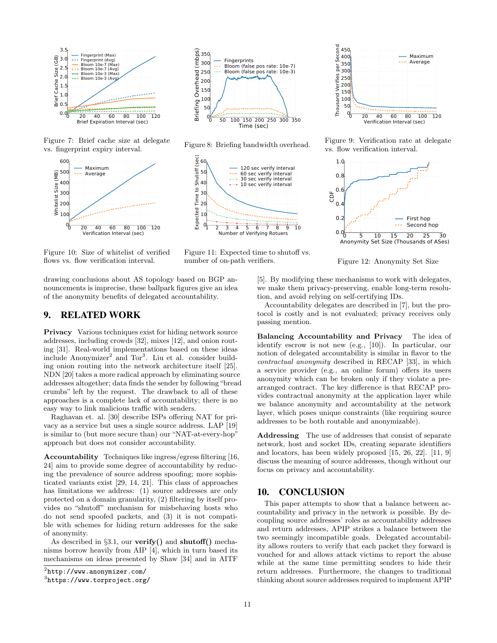

Figure 7: Brief cache size at delegate vs. fingerprint expiry interval.



Figure 10: Size of whitelist of verified flows vs. flow verification interval.



drawing conclusions about AS topology based on BGP announcements is imprecise, these ballpark figures give an idea of the anonymity benefits of delegated accountability.

# 9. RELATED WORK

Privacy Various techniques exist for hiding network source addresses, including crowds [32], mixes [12], and onion routing [31]. Real-world implementations based on these ideas include Anonymizer<sup>2</sup> and Tor<sup>3</sup>. Liu et al. consider building onion routing into the network architecture itself [25]. NDN [20] takes a more radical approach by eliminating source addresses altogether; data finds the sender by following"bread crumbs" left by the request. The drawback to all of these approaches is a complete lack of accountability; there is no easy way to link malicious traffic with senders.

Raghavan et. al. [30] describe ISPs offering NAT for privacy as a service but uses a single source address. LAP [19] is similar to (but more secure than) our "NAT-at-every-hop" approach but does not consider accountability.

Accountability Techniques like ingress/egress filtering [16, 24] aim to provide some degree of accountability by reducing the prevalence of source address spoofing; more sophisticated variants exist [29, 14, 21]. This class of approaches has limitations we address: (1) source addresses are only protected on a domain granularity, (2) filtering by itself provides no "shutoff" mechanism for misbehaving hosts who do not send spoofed packets, and (3) it is not compatible with schemes for hiding return addresses for the sake of anonymity.

As described in  $\S 3.1$ , our **verify**() and **shutoff**() mechanisms borrow heavily from AIP [4], which in turn based its mechanisms on ideas presented by Shaw [34] and in AITF







number of on-path verifiers.



Figure 9: Verification rate at delegate vs. flow verification interval.



Figure 12: Anonymity Set Size

[5]. By modifying these mechanisms to work with delegates, we make them privacy-preserving, enable long-term resolution, and avoid relying on self-certifying IDs.

Accountability delegates are described in [7], but the protocol is costly and is not evaluated; privacy receives only passing mention.

Balancing Accountability and Privacy The idea of identify escrow is not new (e.g., [10]). In particular, our notion of delegated accountability is similar in flavor to the contractual anonymity described in RECAP [33], in which a service provider (e.g., an online forum) offers its users anonymity which can be broken only if they violate a prearranged contract. The key difference is that RECAP provides contractual anonymity at the application layer while we balance anonymity and accountability at the network layer, which poses unique constraints (like requiring source addresses to be both routable and anonymizable).

Addressing The use of addresses that consist of separate network, host and socket IDs, creating separate identifiers and locators, has been widely proposed [15, 26, 22]. [11, 9] discuss the meaning of source addresses, though without our focus on privacy and accountability.

## 10. CONCLUSION

This paper attempts to show that a balance between accountability and privacy in the network is possible. By decoupling source addresses' roles as accountability addresses and return addresses, APIP strikes a balance between the two seemingly incompatible goals. Delegated accountability allows routers to verify that each packet they forward is vouched for and allows attack victims to report the abuse while at the same time permitting senders to hide their return addresses. Furthermore, the changes to traditional thinking about source addresses required to implement APIP

 $^{2}$ http://www.anonymizer.com/

<sup>3</sup> https://www.torproject.org/